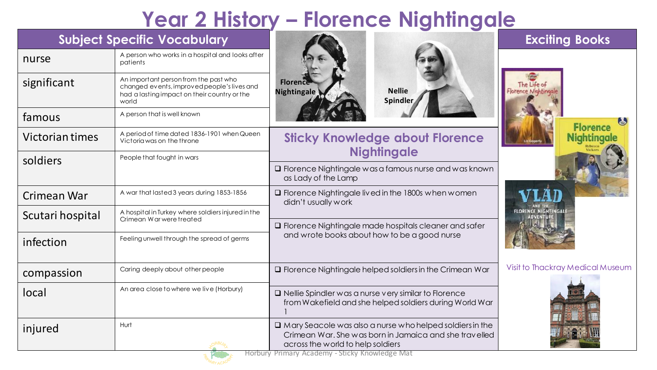## **Year 2 History – Florence Nightingale**

| <b>Subject Specific Vocabulary</b> |                                                                                                                                               |                                                                                                                                                                | <b>Exciting Books</b>                 |
|------------------------------------|-----------------------------------------------------------------------------------------------------------------------------------------------|----------------------------------------------------------------------------------------------------------------------------------------------------------------|---------------------------------------|
| nurse                              | A person who works in a hospital and looks after<br>patients                                                                                  |                                                                                                                                                                |                                       |
| significant                        | An important person from the past who<br>changed events, improved people's lives and<br>had a lasting impact on their country or the<br>world | <b>Florence</b><br><b>Nellie</b><br>Nightingale<br>Spindler                                                                                                    |                                       |
| famous                             | A person that is well known                                                                                                                   |                                                                                                                                                                |                                       |
| Victorian times                    | A period of time dated 1836-1901 when Queen<br>Victoria was on the throne                                                                     | <b>Sticky Knowledge about Florence</b><br><b>Nightingale</b>                                                                                                   | <b>Florence</b><br><b>Nightingale</b> |
| soldiers                           | People that fought in wars                                                                                                                    | $\Box$ Florence Nightingale was a famous nurse and was known<br>as Lady of the Lamp                                                                            |                                       |
| Crimean War                        | A war that lasted 3 years during 1853-1856                                                                                                    | $\Box$ Florence Nightingale lived in the 1800s when women<br>didn't usually work<br>□ Florence Nightingale made hospitals cleaner and safer                    |                                       |
| Scutari hospital                   | A hospital in Turkey where soldiers injured in the<br>Crimean Warwere treated                                                                 |                                                                                                                                                                |                                       |
| infection                          | Feeling unwell through the spread of germs                                                                                                    | and wrote books about how to be a good nurse                                                                                                                   |                                       |
| compassion                         | Caring deeply about other people                                                                                                              | $\square$ Florence Nightingale helped soldiers in the Crimean War                                                                                              | Visit to Thackray Medical Museum      |
| local                              | An area close to where we live (Horbury)                                                                                                      | $\Box$ Nellie Spindler was a nurse very similar to Florence<br>from Wakefield and she helped soldiers during World War                                         |                                       |
| injured                            | Hurt                                                                                                                                          | $\Box$ Mary Seacole was also a nurse who helped soldiers in the<br>Crimean War, She was born in Jamaica and she travelled<br>across the world to help soldiers |                                       |